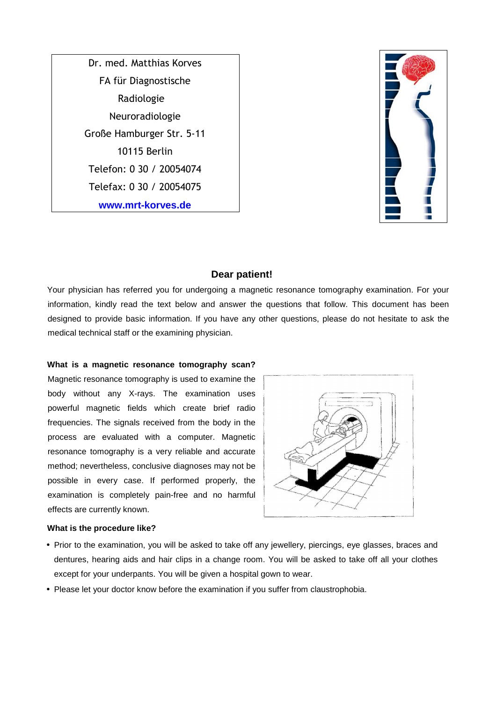Dr. med. Matthias Korves FA für Diagnostische Radiologie Neuroradiologie Große Hamburger Str. 5-11 10115 Berlin Telefon: 0 30 / 20054074 Telefax: 0 30 / 20054075 **www.mrt-korves.de**



## **Dear patient!**

Your physician has referred you for undergoing a magnetic resonance tomography examination. For your information, kindly read the text below and answer the questions that follow. This document has been designed to provide basic information. If you have any other questions, please do not hesitate to ask the medical technical staff or the examining physician.

#### **What is a magnetic resonance tomography scan?**

Magnetic resonance tomography is used to examine the body without any X-rays. The examination uses powerful magnetic fields which create brief radio frequencies. The signals received from the body in the process are evaluated with a computer. Magnetic resonance tomography is a very reliable and accurate method; nevertheless, conclusive diagnoses may not be possible in every case. If performed properly, the examination is completely pain-free and no harmful effects are currently known.



#### **What is the procedure like?**

- Prior to the examination, you will be asked to take off any jewellery, piercings, eye glasses, braces and dentures, hearing aids and hair clips in a change room. You will be asked to take off all your clothes except for your underpants. You will be given a hospital gown to wear.
- Please let your doctor know before the examination if you suffer from claustrophobia.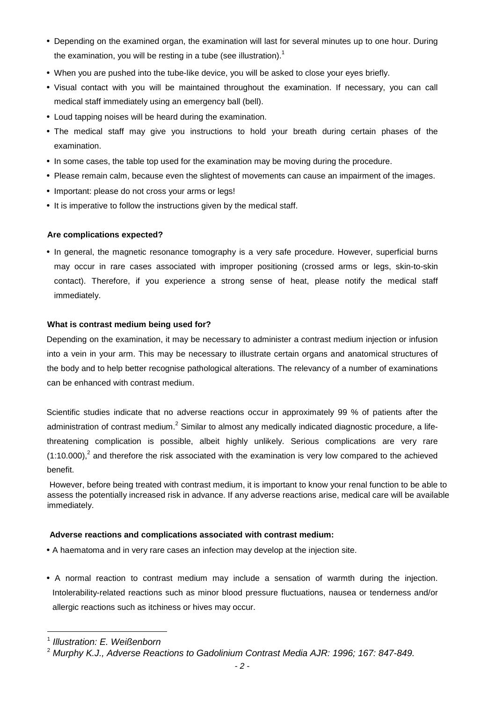- Depending on the examined organ, the examination will last for several minutes up to one hour. During the examination, you will be resting in a tube (see illustration).<sup>1</sup>
- When you are pushed into the tube-like device, you will be asked to close your eyes briefly.
- Visual contact with you will be maintained throughout the examination. If necessary, you can call medical staff immediately using an emergency ball (bell).
- Loud tapping noises will be heard during the examination.
- The medical staff may give you instructions to hold your breath during certain phases of the examination.
- In some cases, the table top used for the examination may be moving during the procedure.
- Please remain calm, because even the slightest of movements can cause an impairment of the images.
- Important: please do not cross your arms or legs!
- It is imperative to follow the instructions given by the medical staff.

## **Are complications expected?**

• In general, the magnetic resonance tomography is a very safe procedure. However, superficial burns may occur in rare cases associated with improper positioning (crossed arms or legs, skin-to-skin contact). Therefore, if you experience a strong sense of heat, please notify the medical staff immediately.

# **What is contrast medium being used for?**

Depending on the examination, it may be necessary to administer a contrast medium injection or infusion into a vein in your arm. This may be necessary to illustrate certain organs and anatomical structures of the body and to help better recognise pathological alterations. The relevancy of a number of examinations can be enhanced with contrast medium.

Scientific studies indicate that no adverse reactions occur in approximately 99 % of patients after the administration of contrast medium.<sup>2</sup> Similar to almost any medically indicated diagnostic procedure, a lifethreatening complication is possible, albeit highly unlikely. Serious complications are very rare  $(1:10.000)$ , and therefore the risk associated with the examination is very low compared to the achieved benefit.

 However, before being treated with contrast medium, it is important to know your renal function to be able to assess the potentially increased risk in advance. If any adverse reactions arise, medical care will be available immediately.

## **Adverse reactions and complications associated with contrast medium:**

- A haematoma and in very rare cases an infection may develop at the injection site.
- A normal reaction to contrast medium may include a sensation of warmth during the injection. Intolerability-related reactions such as minor blood pressure fluctuations, nausea or tenderness and/or allergic reactions such as itchiness or hives may occur.

 $\overline{a}$ 

<sup>&</sup>lt;sup>1</sup> Illustration: E. Weißenborn

 $^2$  Murphy K.J., Adverse Reactions to Gadolinium Contrast Media AJR: 1996; 167: 847-849.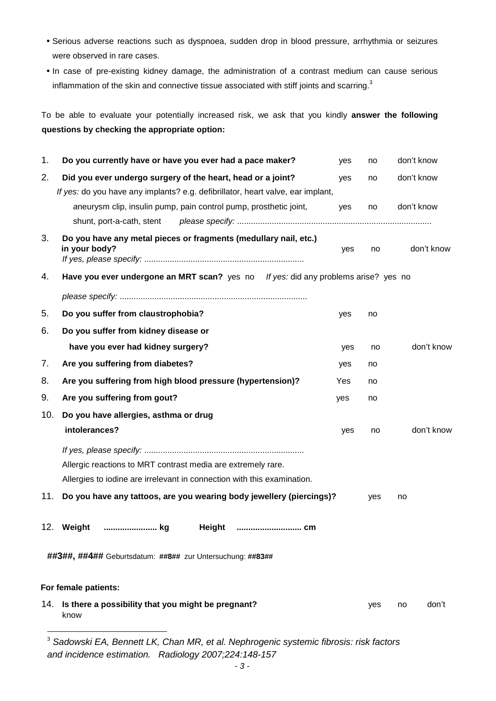- Serious adverse reactions such as dyspnoea, sudden drop in blood pressure, arrhythmia or seizures were observed in rare cases.
- In case of pre-existing kidney damage, the administration of a contrast medium can cause serious inflammation of the skin and connective tissue associated with stiff joints and scarring.<sup>3</sup>

To be able to evaluate your potentially increased risk, we ask that you kindly **answer the following questions by checking the appropriate option:** 

| 1.                                                        | Do you currently have or have you ever had a pace maker?                           | yes | no  | don't know  |
|-----------------------------------------------------------|------------------------------------------------------------------------------------|-----|-----|-------------|
| 2.                                                        | Did you ever undergo surgery of the heart, head or a joint?                        | yes | no  | don't know  |
|                                                           | If yes: do you have any implants? e.g. defibrillator, heart valve, ear implant,    |     |     |             |
|                                                           | aneurysm clip, insulin pump, pain control pump, prosthetic joint,                  | yes | no  | don't know  |
|                                                           | shunt, port-a-cath, stent                                                          |     |     |             |
| 3.                                                        | Do you have any metal pieces or fragments (medullary nail, etc.)<br>in your body?  | yes | no  | don't know  |
| 4.                                                        | Have you ever undergone an MRT scan? yes no If yes: did any problems arise? yes no |     |     |             |
|                                                           |                                                                                    |     |     |             |
| 5.                                                        | Do you suffer from claustrophobia?                                                 | yes | no  |             |
| 6.                                                        | Do you suffer from kidney disease or                                               |     |     |             |
|                                                           | have you ever had kidney surgery?                                                  | yes | no  | don't know  |
| 7.                                                        | Are you suffering from diabetes?                                                   | yes | no  |             |
| 8.                                                        | Are you suffering from high blood pressure (hypertension)?                         | Yes | no  |             |
| 9.                                                        | Are you suffering from gout?                                                       | yes | no  |             |
| 10.                                                       | Do you have allergies, asthma or drug                                              |     |     |             |
|                                                           | intolerances?                                                                      | yes | no  | don't know  |
|                                                           |                                                                                    |     |     |             |
|                                                           | Allergic reactions to MRT contrast media are extremely rare.                       |     |     |             |
|                                                           | Allergies to iodine are irrelevant in connection with this examination.            |     |     |             |
| 11.                                                       | Do you have any tattoos, are you wearing body jewellery (piercings)?               |     | yes | no          |
| 12 <sub>1</sub>                                           | Weight<br>kg<br>Height<br>cm                                                       |     |     |             |
| ##3##, ##4## Geburtsdatum: ##8## zur Untersuchung: ##83## |                                                                                    |     |     |             |
| For female patients:                                      |                                                                                    |     |     |             |
|                                                           | 14. Is there a possibility that you might be pregnant?<br>know                     |     | yes | don't<br>no |
|                                                           |                                                                                    |     |     |             |

 $^3$  Sadowski EA, Bennett LK, Chan MR, et al. Nephrogenic systemic fibrosis: risk factors and incidence estimation. Radiology 2007;224:148-157